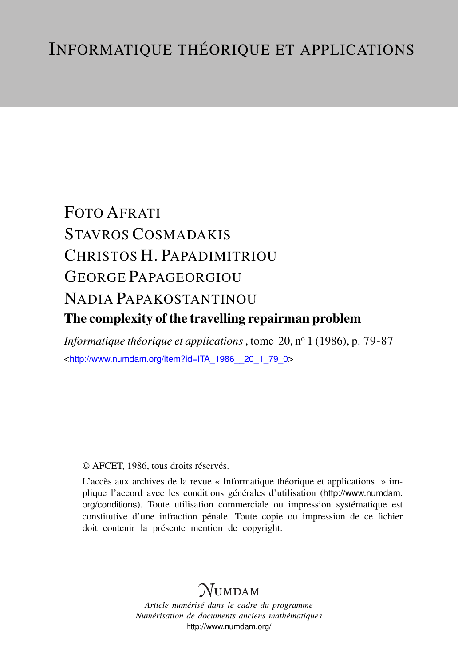# FOTO AFRATI STAVROS COSMADAKIS CHRISTOS H. PAPADIMITRIOU GEORGE PAPAGEORGIOU NADIA PAPAKOSTANTINOU The complexity of the travelling repairman problem

*Informatique théorique et applications*, tome 20, n<sup>o</sup> 1 (1986), p. 79-87 <[http://www.numdam.org/item?id=ITA\\_1986\\_\\_20\\_1\\_79\\_0](http://www.numdam.org/item?id=ITA_1986__20_1_79_0)>

# © AFCET, 1986, tous droits réservés.

L'accès aux archives de la revue « Informatique théorique et applications » implique l'accord avec les conditions générales d'utilisation ([http://www.numdam.](http://www.numdam.org/conditions) [org/conditions](http://www.numdam.org/conditions)). Toute utilisation commerciale ou impression systématique est constitutive d'une infraction pénale. Toute copie ou impression de ce fichier doit contenir la présente mention de copyright.

# $N$ UMDAM

*Article numérisé dans le cadre du programme Numérisation de documents anciens mathématiques* <http://www.numdam.org/>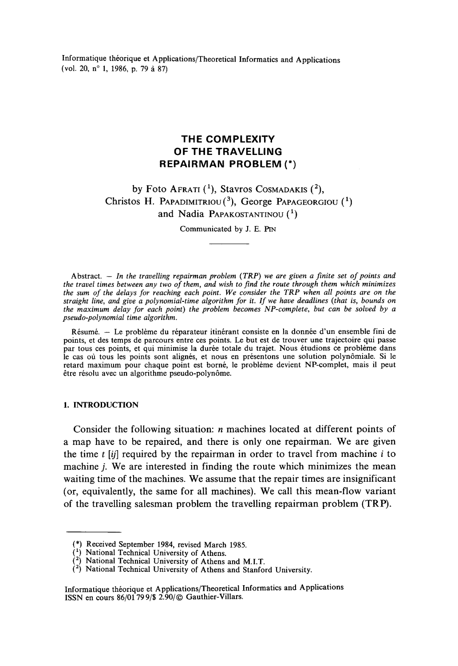Informatique théorique et Applications/Theoretical Informaties and Applications (vol 20, n° 1, 1986, p. 79 à 87)

# **THE COMPLEXITY OF THE TRAVELLING REPAIRMAN PROBLEM (\*)**

# by Foto Afrati (<sup>1</sup>), Stavros Cosmadakis (<sup>2</sup>), Christos H. PAPADIMITRIOU(<sup>3</sup> ), George PAPAGEORGIOU and Nadia Papakostantinou (<sup>1</sup>)

Communicated by J. E. PIN

Abstract. — *In the travelling repairman problem (TRP) we are given a finite set of points and* the travel times between any two of them, and wish to find the route through them which minimizes *the sum of the delays for reaching each point. We consider the TRP when ail points are on the straight line, and give a polynomial-time algorithm for it. If we have deadlines (that is, bounds on the maximum delay for each point) the problem becomes NP-complete, but can be solved by a pseudo-polynomial time algorithm.*

Résumé. — Le problème du réparateur itinérant consiste en la donnée d'un ensemble fini de points, et des temps de parcours entre ces points. Le but est de trouver une trajectoire qui passe par tous ces points, et qui minimise la durée totale du trajet. Nous étudions ce problème dans le cas où tous les points sont alignés, et nous en présentons une solution polynômiale. Si le retard maximum pour chaque point est borné, le problème devient NP-complet, mais il peut être résolu avec un algorithme pseudo-polynôme.

#### **1. INTRODUCTION**

Consider the following situation: *n* machines located at different points of a map have to be repaired, and there is only one repairman. We are given the time *t [ij]* required by the repairman in order to travel from machine *i* to machine *j*. We are interested in finding the route which minimizes the mean waiting time of the machines. We assume that the repair times are insignificant (or, equivalently, the same for ail machines). We call this mean-flow variant of the travelling salesman problem the travelling repairman problem (TRP).

<sup>(\*)</sup> Received September 1984, revised March 1985.

<sup>(\*)</sup> National Technical University of Athens.

 $\binom{2}{2}$  National Technical University of Athens and M.I.T.

 $(2)$  National Technical University of Athens and Stanford University.

Informatique théorique et Applications/Theoretical Informaties and Applications ISSN en cours 86/01 799/\$ 2.90/© Gauthier-Villars.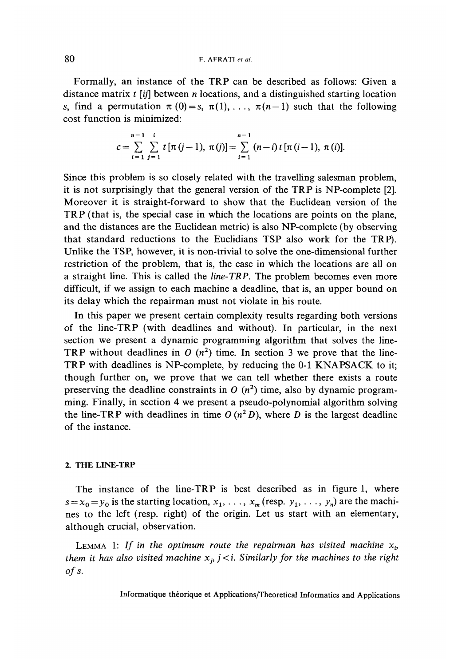Formally, an instance of the TRP can be described as foliows: Given a distance matrix *t [ij]* between *n* locations, and a distinguished starting location s, find a permutation  $\pi(0) = s$ ,  $\pi(1)$ , ...,  $\pi(n-1)$  such that the following cost function is minimized:

$$
c = \sum_{i=1}^{n-1} \sum_{j=1}^{i} t \left[ \pi (j-1), \pi (j) \right] = \sum_{i=1}^{n-1} (n-i) t \left[ \pi (i-1), \pi (i) \right].
$$

Since this problem is so closely related with the travelling salesman problem, it is not surprisingly that the gênerai version of the TRP is NP-complete [2]. Moreover it is straight-forward to show that the Euclidean version of the TRP (that is, the special case in which the locations are points on the plane, and the distances are the Euclidean metric) is also NP-complete (by observing that standard réductions to the Euclidians TSP also work for the TRP). Unlike the TSP, however, it is non-trivial to solve the one-dimensional further restriction of the problem, that is, the case in which the locations are ail on a straight line. This is called the *line-TRP.* The problem becomes even more difficult, if we assign to each machine a deadline, that is, an upper bound on its delay which the repairman must not violate in his route.

In this paper we present certain complexity results regarding both versions of the line-TRP (with deadlines and without). In particular, in the next section we present a dynamic programming algorithm that solves the line-TRP without deadlines in  $O(n^2)$  time. In section 3 we prove that the line-TRP with deadlines is NP-complete, by reducing the 0-1 KNAPSACK to it; though further on, we prove that we can tell whether there exists a route preserving the deadline constraints in  $O(n^2)$  time, also by dynamic programming. Finally, in section 4 we present a pseudo-polynomial algorithm solving the line-TRP with deadlines in time  $O(n^2 D)$ , where *D* is the largest deadline of the instance.

# **2. THE LINE-TRP**

The instance of the line-TRP is best described as in figure 1, where  $s = x_0 = y_0$  is the starting location,  $x_1, \ldots, x_m$  (resp.  $y_1, \ldots, y_n$ ) are the machines to the left (resp. right) of the origin, Let us start with an elementary, although crucial, observation.

LEMMA 1: If in the optimum route the repairman has visited machine  $x_i$ *them it has also visited machine*  $x_j$  *j*  $\lt$ *i. Similarly for the machines to the right ofs.*

Informatique théorique et Applications/Theoretical Informaties and Applications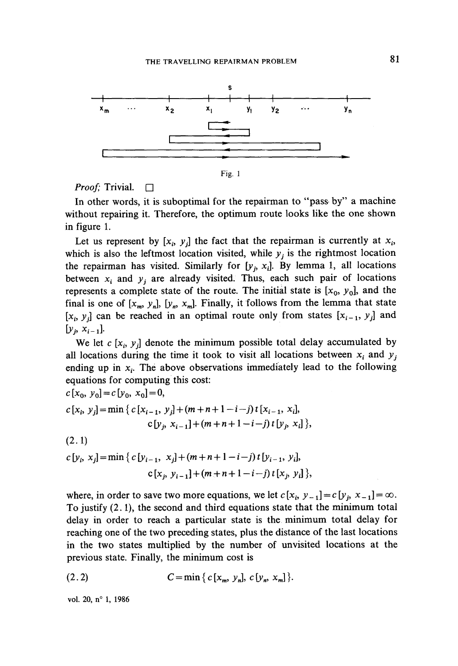

**Fig. 1**

# *Proof;* Trivial.  $\Box$

In other words, it is suboptimal for the repairman to "pass by" a machine without repairing it. Therefore, the optimum route looks like the one shown in figure 1.

Let us represent by  $[x_i, y_j]$  the fact that the repairman is currently at  $x_i$ , which is also the leftmost location visited, while  $y_j$  is the rightmost location the repairman has visited. Similarly for  $[y_j, x_j]$ . By lemma 1, all locations between  $x_i$  and  $y_j$  are already visited. Thus, each such pair of locations represents a complete state of the route. The initial state is  $[x_0, y_0]$ , and the final is one of  $[x_m, y_n]$ ,  $[y_n, x_m]$ . Finally, it follows from the lemma that state  $[x_i, y_j]$  can be reached in an optimal route only from states  $[x_{i-1}, y_j]$  and  $[y_i, x_{i-1}]$ 

We let  $c$  [ $x_i, y_j$ ] denote the minimum possible total delay accumulated by all locations during the time it took to visit all locations between x; and *y<sup>i</sup>* ending up in  $x_i$ . The above observations immediately lead to the following équations for Computing this cost:

$$
c[x_0, y_0] = c[y_0, x_0] = 0,
$$
  
\n
$$
c[x_i, y_j] = \min \{ c[x_{i-1}, y_j] + (m+n+1-i-j) t [x_{i-1}, x_i],
$$
  
\n
$$
c[y_j, x_{i-1}] + (m+n+1-i-j) t [y_j, x_i] \},
$$

(2.1)

$$
c[y_i, x_j] = \min \{ c[y_{i-1}, x_j] + (m+n+1-i-j) t [y_{i-1}, y_i],
$$
  

$$
c[x_j, y_{i-1}] + (m+n+1-i-j) t [x_j, y_i],
$$

where, in order to save two more equations, we let  $c[x_i, y_{-1}] = c[y_j, x_{-1}] = \infty$ . To justify (2.1), the second and third équations state that the minimum total delay in order to reach a particular state is the minimum total delay for reaching one of the two preceding states, plus the distance of the last locations in the two states multiplied by the number of unvisited locations at the previous state. Finally, the minimum cost is

(2.2) 
$$
C = \min \{ c \, [x_m, y_n], c \, [y_n, x_m] \}.
$$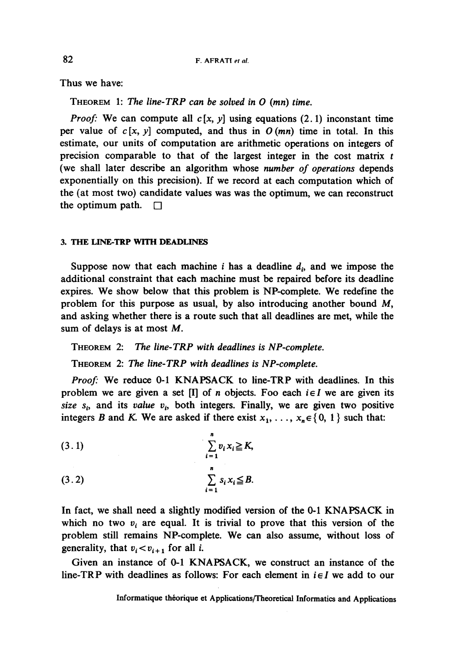**Thus we have:**

**THEOREM 1:** *The line-TRP can be solved in O (mn) time.*

*Proof:* We can compute all  $c[x, y]$  using equations (2.1) inconstant time per value of  $c[x, y]$  computed, and thus in  $O(mn)$  time in total. In this estimate, our units of computation are arithmetic operations on integers of **precision comparable to that of the largest integer in the cost matrix to precision (we shall later describe an algorithm whose** *number of opérations* **dépends** exponentially on this precision). If we record at each computation which of **the (at most two) candidate values was was the optimum, we can reconstruct** the optimum path.  $\Box$ 

# 3. **THE LINE-TRP WTTH DEADLINES**

Suppose now that each machine  $i$  has a deadline  $d_i$ , and we impose the **additional constraint that each machine must be repaired before its deadline expires. We show below that this problem is NP-complete. We redefine the problem for this purpose as usual, by also introducing another bound M, and asking whether there is a route such that all deadlines are met, while the sum of delays is at most** *M.*

**THEOREM 2:** *The line-TRP with deadlines is NP-complete.*

**THEOREM 2:** *The line-TRP with deadlines is NP-complete.*

*Proof:* **We reduce 0-1 KNAPSACK to line-TRP with deadlines. In this** problem we are given a set  $[I]$  of *n* objects. Foo each  $i \in I$  we are given its *size*  $s_i$ , and its *value*  $v_i$ , both integers. Finally, we are given two positive integers *B* and *K*. We are asked if there exist  $x_1, \ldots, x_n \in \{0, 1\}$  such that:

$$
(3.1) \qquad \qquad \sum_{i=1}^{n} v_i x_i \ge K,
$$
  

$$
(3.2) \qquad \qquad \sum_{i=1}^{n} s_i x_i \le B.
$$

**In fact, we shall need a slightly modified version of the 0-1 KNAPSACK in** which no two  $v_i$  are equal. It is trivial to prove that this version of the **problem still remains NP-complete. We can also assume, without loss of generality, that**  $v_i < v_{i+1}$  for all *i*.

**Given an instance of 0-1 KNAPSACK, we construct an instance of the** line-TRP with deadlines as follows: For each element in  $i \in I$  we add to our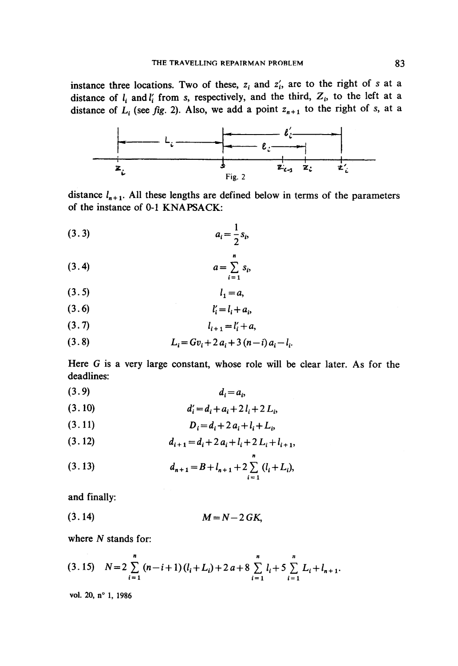**instance three locations. Two of these,**  $z_i$  and  $z'_i$ , are to the right of s at a distance of  $l_i$  and  $l'_i$  from *s*, respectively, and the third,  $Z_i$ , to the left at a distance of  $L_i$  (see *fig.* 2). Also, we add a point  $z_{n+1}$  to the right of s, at a



distance  $l_{n+1}$ . All these lengths are defined below in terms of the parameters **of the instance of 0-1 KNAPSACK:**

$$
(3.3) \t\t\t a_i = \frac{1}{2} s_i,
$$

$$
(3.4) \t\t a = \sum_{i=1}^{n} s_i
$$

$$
(3.5) \t\t l_1 = a,
$$

$$
(3.6) \t\t\t l'_i = l_i + a_i,
$$

$$
(3.7) \t\t\t l_{i+1} = l'_i + a
$$

$$
(3.8) \t L_i = Gv_i + 2 a_i + 3 (n-i) a_i - l_i
$$

Here G is a very large constant, whose role will be clear later. As for the **deadlines:**

$$
(3.9) \t\t\t d_i = a_i,
$$

$$
(3.10) \t d'_{i} = d_{i} + a_{i} + 2 l_{i} + 2 L_{i}
$$

$$
(3.11) \t\t D_i = d_i + 2 a_i + l_i + L_i,
$$

$$
(3.12) \t d_{i+1} = d_i + 2 a_i + l_i + 2 L_i + l_{i+1}
$$

(3.13) 
$$
d_{n+1} = B + l_{n+1} + 2 \sum_{i=1}^{n} (l_i + L_i),
$$

**and finally:**

$$
(3.14) \t\t\t M=N-2 G K,
$$

**where** *N* **stands for:**

$$
(3.15) \quad N=2\sum_{i=1}^{n} (n-i+1)(l_i+L_i)+2a+8\sum_{i=1}^{n} l_i+5\sum_{i=1}^{n} L_i+l_{n+1}.
$$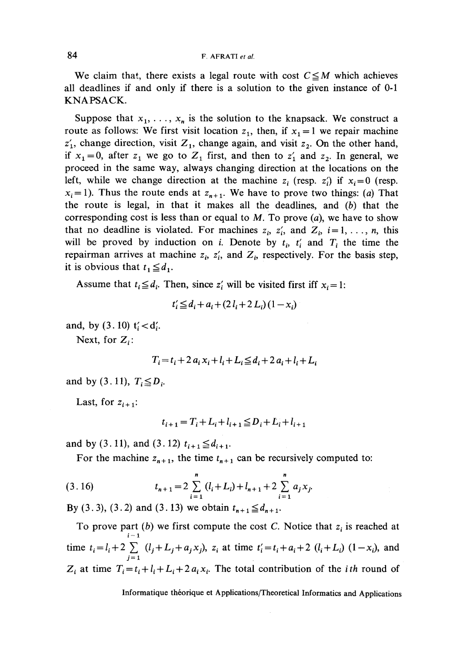We claim that, there exists a legal route with cost  $C \leq M$  which achieves all deadlines if and only if there is a solution to the given instance of 0-1 KNAPSACK.

Suppose that  $x_1, \ldots, x_n$  is the solution to the knapsack. We construct a route as follows: We first visit location  $z_1$ , then, if  $x_1 = 1$  we repair machine  $z'_1$ , change direction, visit  $Z_1$ , change again, and visit  $z_2$ . On the other hand, if  $x_1 = 0$ , after  $z_1$  we go to  $Z_1$  first, and then to  $z'_1$  and  $z_2$ . In general, we proceed in the same way, always changing direction at the locations on the left, while we change direction at the machine  $z_i$  (resp.  $z'_i$ ) if  $x_i = 0$  (resp.  $x_i=1$ ). Thus the route ends at  $z_{n+1}$ . We have to prove two things: (a) That the route is légal, in that it makes all the deadlines, and *(b)* that the corresponding cost is less than or equal to  $M$ . To prove  $(a)$ , we have to show that no deadline is violated. For machines  $z_i$ ,  $z'_i$ , and  $Z_i$ ,  $i=1,\ldots,n$ , this will be proved by induction on *i*. Denote by  $t_i$ ,  $t_i$  and  $T_i$  the time the repairman arrives at machine  $z_i$ ,  $z'_i$ , and  $Z_i$ , respectively. For the basis step, it is obvious that  $t_1 \leq d_1$ .

Assume that  $t_i \leq d_i$ . Then, since  $z_i'$  will be visited first iff  $x_i = 1$ :

$$
t'_{i} \leq d_{i} + a_{i} + (2 l_{i} + 2 L_{i}) (1 - x_{i})
$$

and, by  $(3.10)$  t'<sub>i</sub> < d'<sub>i</sub>.

Next, for  $Z_i$ :

$$
T_i = t_i + 2 a_i x_i + l_i + L_i \leq d_i + 2 a_i + l_i + L_i
$$

and by (3.11),  $T_i \le D_i$ .

Last, for  $z_{i+1}$ :

$$
t_{i+1} = T_i + L_i + l_{i+1} \le D_i + L_i + l_{i+1}
$$

and by (3.11), and (3.12)  $t_{i+1} \leq d_{i+1}$ .

For the machine  $z_{n+1}$ , the time  $t_{n+1}$  can be recursively computed to:

(3.16) 
$$
t_{n+1} = 2 \sum_{i=1}^{n} (l_i + L_i) + l_{n+1} + 2 \sum_{i=1}^{n} a_i x_i
$$

By (3.3), (3.2) and (3.13) we obtain  $t_{n+1} \leq d_{n+1}$ .

To prove part *(b)* we first compute the cost C. Notice that *z<sup>i</sup>* is reached at **i - l** time  $t_i = l_i + 2 \sum (l_j + L_j + a_j x_j)$ ,  $z_i$  at time  $t'_i = t_i + a_i + 2 (l_i + L_i) (1 - x_i)$ , and  $Z_i$  at time  $T_i = t_i + l_i + L_i + 2 a_i x_i$ . The total contribution of the *i*th round of

Informatique théorique et Applications/Theoretical Informaties and Applications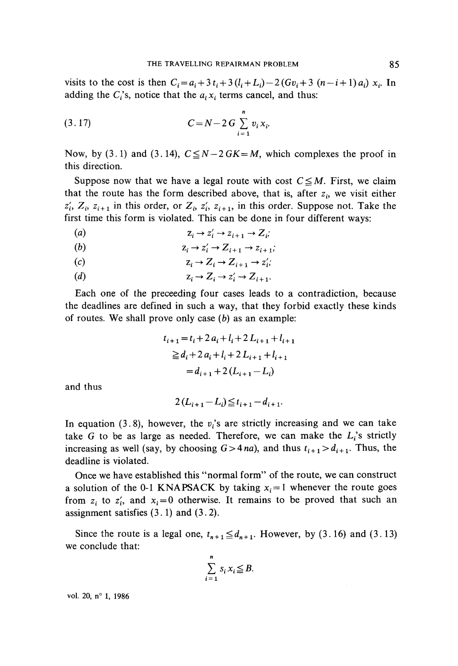visits to the cost is then  $C_i = a_i + 3t_i + 3(l_i + L_i) - 2(Gv_i + 3(n - i + 1) a_i) x_i$ . In adding the  $C_i$ 's, notice that the  $a_i x_i$  terms cancel, and thus:

$$
(3.17) \tC = N - 2 G \sum_{i=1}^{n} v_i x_i.
$$

Now, by (3.1) and (3.14),  $C \leq N-2GK=M$ , which complexes the proof in this direction.

Suppose now that we have a legal route with cost  $C \le M$ . First, we claim that the route has the form described above, that is, after  $z_i$ , we visit either  $z'_i$ ,  $Z_i$ ,  $z_{i+1}$  in this order, or  $Z_i$ ,  $z'_i$ ,  $z_{i+1}$ , in this order. Suppose not. Take the first time this form is violated. This can be done in four different ways:

*(a) zi-^z/ <sup>i</sup>~^zi+1-^Zi;*

*(b) zi^z/ <sup>i</sup>^Zi+l-^zi + 1;*

$$
z_i \to Z_i \to Z_{i+1} \to z_i';
$$

(d)  $z_i \rightarrow Z_i \rightarrow z'_i \rightarrow Z_{i+1}$ .

Each one of the preceeding four cases leads to a contradiction, because the deadlines are defined in such a way, that they forbid exactly these kinds of routes. We shall prove only case *(b)* as an example:

$$
t_{i+1} = t_i + 2a_i + l_i + 2L_{i+1} + l_{i+1}
$$
  
\n
$$
\geq d_i + 2a_i + l_i + 2L_{i+1} + l_{i+1}
$$
  
\n
$$
= d_{i+1} + 2(L_{i+1} - L_i)
$$

and thus

$$
2(L_{i+1}-L_i) \leq t_{i+1}-d_{i+1}.
$$

In equation (3.8), however, the  $v_i$ 's are strictly increasing and we can take take G to be as large as needed. Therefore, we can make the  $L_i$ 's strictly increasing as well (say, by choosing  $G>4na$ ), and thus  $t_{i+1} > d_{i+1}$ . Thus, the deadline is violated.

Once we have established this "normal form" of the route, we can construct a solution of the 0-1 KNAPSACK by taking  $x_i = 1$  whenever the route goes from  $z_i$  to  $z'_i$ , and  $x_i = 0$  otherwise. It remains to be proved that such an assignment satisfies (3.1) and (3.2).

Since the route is a legal one,  $t_{n+1} \leq d_{n+1}$ . However, by (3.16) and (3.13) we conclude that:

$$
\sum_{i=1}^{n} s_i x_i \leq B.
$$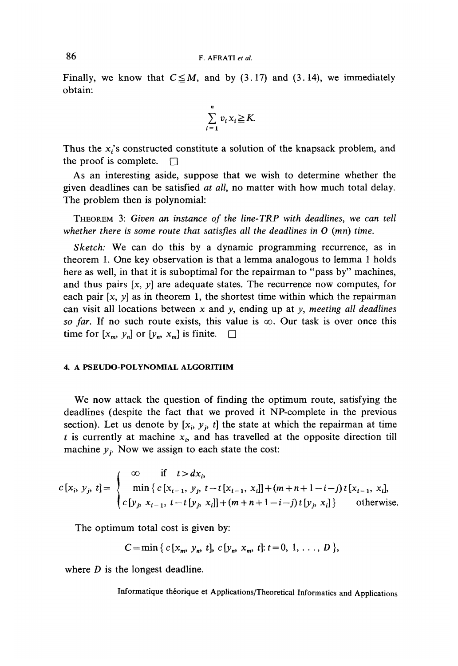Finally, we know that  $C \leq M$ , and by (3.17) and (3.14), we immediately obtain:

$$
\sum_{i=1}^n v_i x_i \geq K.
$$

Thus the  $x_i$ 's constructed constitute a solution of the knapsack problem, and the proof is complete.  $\Box$ 

As an interesting aside, suppose that we wish to détermine whether the given deadlines can be satisfied *at all,* no matter with how much total delay. The problem then is polynomial:

THEOREM 3: *Given an instance of the line-TRP with deadlines, we can teil whether there is some route that satisfles all the deadlines in O (mn) time.*

*Sketch:* We can do this by a dynamic programming recurrence, as in theorem 1. One key observation is that a lemma analogous to lemma 1 holds here as well, in that it is suboptimal for the repairman to "pass by" machines, and thus pairs  $[x, y]$  are adequate states. The recurrence now computes, for each pair  $[x, y]$  as in theorem 1, the shortest time within which the repairman can visit all locations between x and *y,* ending up at *y, meeting all deadlines* so far. If no such route exists, this value is  $\infty$ . Our task is over once this time for  $[x_m, y_n]$  or  $[y_n, x_m]$  is finite.  $\square$ 

### **4. A PSEUDO-POLYNOMtAL ALGORITHM**

We now attack the question of finding the optimum route, satisfying the deadlines (despite the fact that we proved it NP-complete in the previous section). Let us denote by  $[x_i, y_j, t]$  the state at which the repairman at time  $t$  is currently at machine  $x_i$ , and has travelled at the opposite direction till machine  $y_j$ . Now we assign to each state the cost:

$$
c[x_i, y_j, t] = \begin{cases} \n\infty & \text{if } t > dx_i, \\ \n\min \{ c[x_{i-1}, y_j, t-t[x_{i-1}, x_i]] + (m+n+1-i-j)t[x_{i-1}, x_i], \\ \n\epsilon [y_j, x_{i-1}, t-t[y_j, x_i]] + (m+n+1-i-j)t[y_j, x_i] \} & \text{otherwise.} \n\end{cases}
$$

The optimum total cost is given by:

$$
C = \min\{c[x_m, y_n, t], c[y_n, x_m, t]; t = 0, 1, ..., D\},\
$$

where *D* is the longest deadline.

**Informatique théorique et Applications/Theoretical Informaties and Applications**